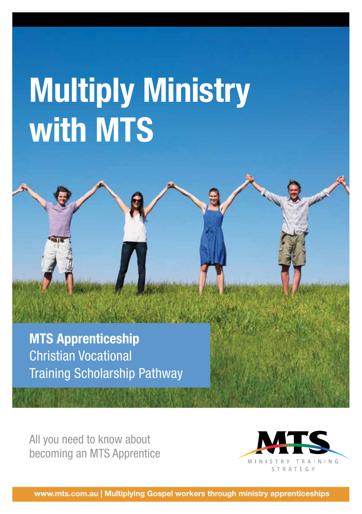# **Multiply Ministry with MTS**

**MTS Apprenticeship** Christian Vocational Training Scholarship Pathway

All you need to know about becoming an MTS Apprentice



**www.mts.com.au | Multiplying Gospel workers through ministry apprenticeships**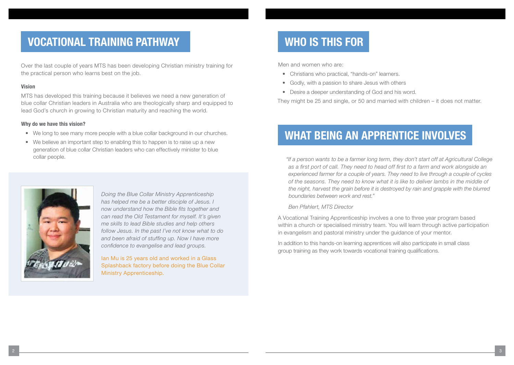## **VOCATIONAL TRAINING PATHWAY WHO IS THIS FOR**

Over the last couple of years MTS has been developing Christian ministry training for the practical person who learns best on the job.

### **Vision**

MTS has developed this training because it believes we need a new generation of blue collar Christian leaders in Australia who are theologically sharp and equipped to lead God's church in growing to Christian maturity and reaching the world.

#### **Why do we have this vision?**

- We long to see many more people with a blue collar background in our churches.
- We believe an important step to enabling this to happen is to raise up a new generation of blue collar Christian leaders who can effectively minister to blue collar people.



*Doing the Blue Collar Ministry Apprenticeship has helped me be a better disciple of Jesus. I now understand how the Bible fits together and can read the Old Testament for myself. It's given me skills to lead Bible studies and help others follow Jesus. In the past I've not know what to do and been afraid of stuffing up. Now I have more confidence to evangelise and lead groups.*

Ian Mu is 25 years old and worked in a Glass Splashback factory before doing the Blue Collar Ministry Apprenticeship.

Men and women who are:

- Christians who practical, "hands-on" learners.
- Godly, with a passion to share Jesus with others
- Desire a deeper understanding of God and his word.

They might be 25 and single, or 50 and married with children – it does not matter.

## **WHAT BEING AN APPRENTICE INVOLVES**

*"If a person wants to be a farmer long term, they don't start off at Agricultural College as a first port of call. They need to head off first to a farm and work alongside an experienced farmer for a couple of years. They need to live through a couple of cycles of the seasons. They need to know what it is like to deliver lambs in the middle of the night, harvest the grain before it is destroyed by rain and grapple with the blurred boundaries between work and rest."* 

*Ben Pfahlert, MTS Director*

A Vocational Training Apprenticeship involves a one to three year program based within a church or specialised ministry team. You will learn through active participation in evangelism and pastoral ministry under the guidance of your mentor.

In addition to this hands-on learning apprentices will also participate in small class group training as they work towards vocational training qualifications.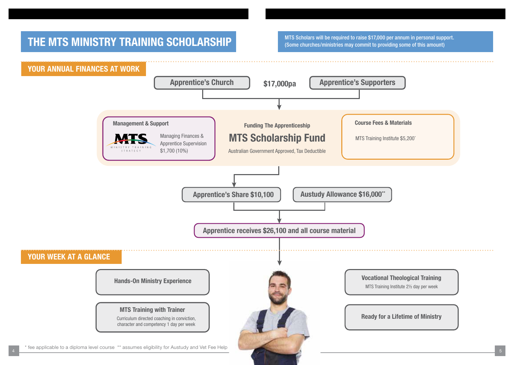## **THE MTS MINISTRY TRAINING SCHOLARSHIP** MTS Scholars will be required to raise \$17,000 per annum in personal support.

(Some churches/ministries may commit to providing some of this amount)

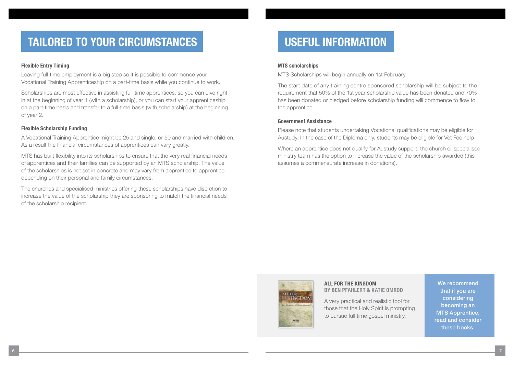## **TAILORED TO YOUR CIRCUMSTANCES**

#### **Flexible Entry Timing**

Leaving full-time employment is a big step so it is possible to commence your Vocational Training Apprenticeship on a part-time basis while you continue to work.

Scholarships are most effective in assisting full-time apprentices, so you can dive right in at the beginning of year 1 (with a scholarship), or you can start your apprenticeship on a part-time basis and transfer to a full-time basis (with scholarship) at the beginning of year 2.

### **Flexible Scholarship Funding**

A Vocational Training Apprentice might be 25 and single, or 50 and married with children. As a result the financial circumstances of apprentices can vary greatly.

MTS has built flexibility into its scholarships to ensure that the very real financial needs of apprentices and their families can be supported by an MTS scholarship. The value of the scholarships is not set in concrete and may vary from apprentice to apprentice – depending on their personal and family circumstances.

The churches and specialised ministries offering these scholarships have discretion to increase the value of the scholarship they are sponsoring to match the financial needs of the scholarship recipient.

## **USEFUL INFORMATION**

#### **MTS scholarships**

MTS Scholarships will begin annually on 1st February.

The start date of any training centre sponsored scholarship will be subject to the requirement that 50% of the 1st year scholarship value has been donated and 70% has been donated or pledged before scholarship funding will commence to flow to the apprentice.

### **Government Assistance**

Please note that students undertaking Vocational qualifications may be eligible for Austudy. In the case of the Diploma only, students may be eligible for Vet Fee help

Where an apprentice does not qualify for Austudy support, the church or specialised ministry team has the option to increase the value of the scholarship awarded (this assumes a commensurate increase in donations).



#### **ALL FOR THE KINGDOM BY BEN PFAHLERT & KATIE OMROD**

A very practical and realistic tool for those that the Holy Spirit is prompting to pursue full time gospel ministry.

We recommend that if you are considering becoming an MTS Apprentice, read and consider these books.